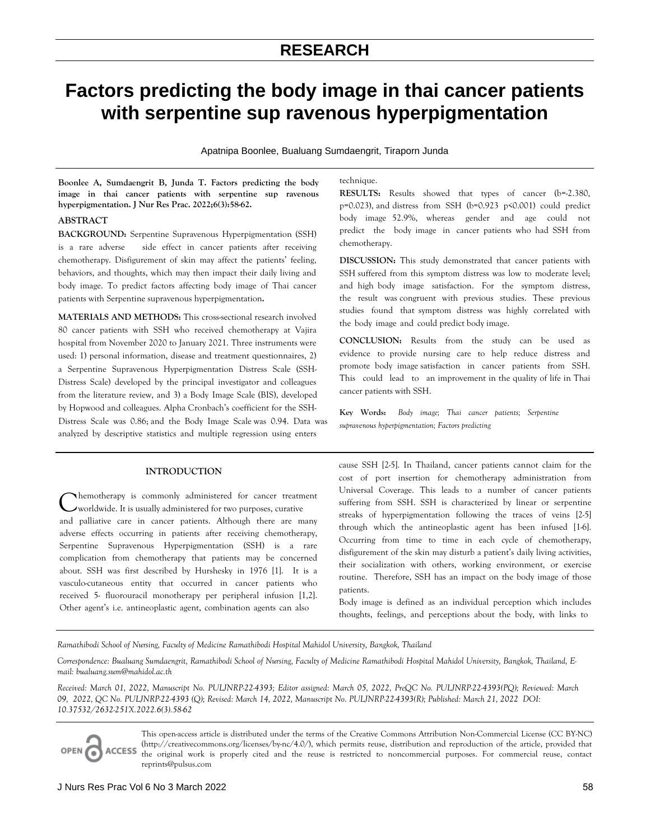# **RESEARCH**

# **Factors predicting the body image in thai cancer patients with serpentine sup ravenous hyperpigmentation**

Apatnipa Boonlee, Bualuang Sumdaengrit, Tiraporn Junda

**Boonlee A, Sumdaengrit B, Junda T. Factors predicting the body image in thai cancer patients with serpentine sup ravenous hyperpigmentation. J Nur Res Prac. 2022;6(3):58-62.** 

# **ABSTRACT**

**BACKGROUND:** Serpentine Supravenous Hyperpigmentation (SSH) is a rare adverse side effect in cancer patients after receiving chemotherapy. Disfigurement of skin may affect the patients' feeling, behaviors, and thoughts, which may then impact their daily living and body image. To predict factors affecting body image of Thai cancer patients with Serpentine supravenous hyperpigmentation**.**

**MATERIALS AND METHODS:** This cross-sectional research involved 80 cancer patients with SSH who received chemotherapy at Vajira hospital from November 2020 to January 2021. Three instruments were used: 1) personal information, disease and treatment questionnaires, 2) a Serpentine Supravenous Hyperpigmentation Distress Scale (SSH-Distress Scale) developed by the principal investigator and colleagues from the literature review, and 3) a Body Image Scale (BIS), developed by Hopwood and colleagues. Alpha Cronbach's coefficient for the SSHanalyzed by descriptive statistics and multiple regression using enters Distress Scale was 0.86; and the Body Image Scale was 0.94. Data was supravenous hyperpigmentation; Factors predicting

# **INTRODUCTION**

hemotherapy is commonly administered for cancer treatment Chemotherapy is commonly administered for cancer treatm<br>
worldwide. It is usually administered for two purposes, curative and palliative care in cancer patients. Although there are many adverse effects occurring in patients after receiving chemotherapy, Serpentine Supravenous Hyperpigmentation (SSH) is a rare complication from chemotherapy that patients may be concerned about. SSH was first described by Hurshesky in 1976 [1]. It is a vasculo-cutaneous entity that occurred in cancer patients who received 5- fluorouracil monotherapy per peripheral infusion [1,2]. Other agent's i.e. antineoplastic agent, combination agents can also

# technique.

**RESULTS:** Results showed that types of cancer (b=-2.380,  $p=0.023$ ), and distress from SSH ( $b=0.923$   $p\leq 0.001$ ) could predict body image 52.9%, whereas gender and age could not predict the body image in cancer patients who had SSH from chemotherapy.

**DISCUSSION:** This study demonstrated that cancer patients with SSH suffered from this symptom distress was low to moderate level; and high body image satisfaction. For the symptom distress, the result was congruent with previous studies. These previous studies found that symptom distress was highly correlated with the body image and could predict body image.

**CONCLUSION:** Results from the study can be used as evidence to provide nursing care to help reduce distress and promote body image satisfaction in cancer patients from SSH. This could lead to an improvement in the quality of life in Thai cancer patients with SSH.

**Key Words:** *Body image; Thai cancer patients; Serpentine* 

cause SSH [2-5]. In Thailand, cancer patients cannot claim for the cost of port insertion for chemotherapy administration from Universal Coverage. This leads to a number of cancer patients suffering from SSH. SSH is characterized by linear or serpentine streaks of hyperpigmentation following the traces of veins [2-5] through which the antineoplastic agent has been infused [1-6]. Occurring from time to time in each cycle of chemotherapy, disfigurement of the skin may disturb a patient's daily living activities, their socialization with others, working environment, or exercise routine. Therefore, SSH has an impact on the body image of those patients.

Body image is defined as an individual perception which includes thoughts, feelings, and perceptions about the body, with links to

*Ramathibodi School of Nursing, Faculty of Medicine Ramathibodi Hospital Mahidol University, Bangkok, Thailand* 

*Correspondence: Bualuang Sumdaengrit, Ramathibodi School of Nursing, Faculty of Medicine Ramathibodi Hospital Mahidol University, Bangkok, Thailand, Email: bualuang.sum@mahidol.ac.th*

*Received: March 01, 2022, Manuscript No. PULJNRP-22-4393; Editor assigned: March 05, 2022, PreQC No. PULJNRP-22-4393(PQ); Reviewed: March 09, 2022, QC No. PULJNRP-22-4393 (Q); Revised: March 14, 2022, Manuscript No. PULJNRP-22-4393(R); Published: March 21, 2022 DOI: 10.37532/2632-251X.2022.6(3).58-62* 



This open-access article is distributed under the terms of the Creative Commons Attribution Non-Commercial License (CC BY-NC) (http://creativecommons.org/licenses/by-nc/4.0/), which permits reuse, distribution and reproduction of the article, provided that the original work is properly cited and the reuse is restricted to noncommercial purposes. For commercial reuse, contact reprints@pulsus.com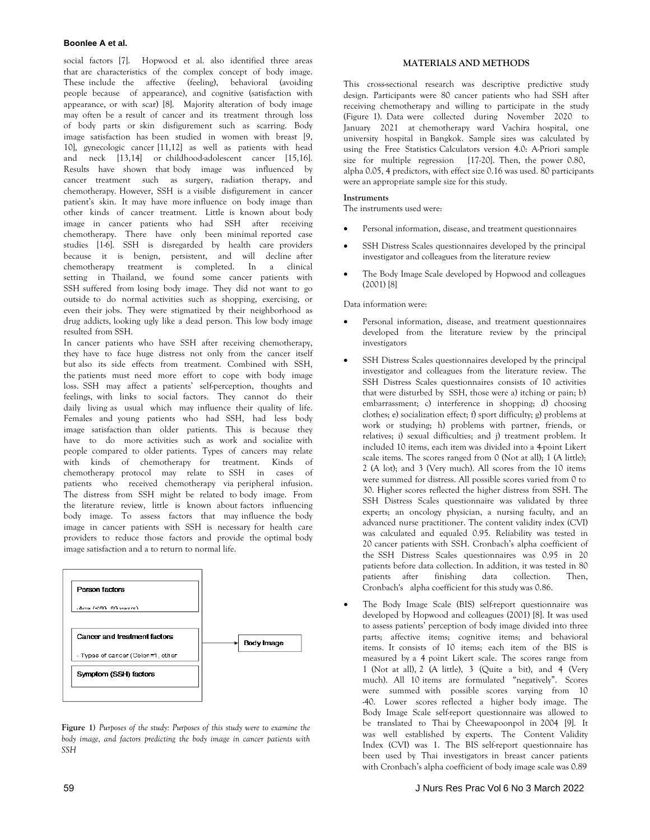### **Boonlee A et al.**

social factors [7]. Hopwood et al. also identified three areas that are characteristics of the complex concept of body image. These include the affective (feeling), behavioral (avoiding people because of appearance), and cognitive (satisfaction with appearance, or with scar) [8]. Majority alteration of body image may often be a result of cancer and its treatment through loss of body parts or skin disfigurement such as scarring. Body image satisfaction has been studied in women with breast [9, 10], gynecologic cancer [11,12] as well as patients with head and neck [13,14] or childhood-adolescent cancer [15,16]. Results have shown that body image was influenced by cancer treatment such as surgery, radiation therapy, and chemotherapy. However, SSH is a visible disfigurement in cancer patient's skin. It may have more influence on body image than other kinds of cancer treatment. Little is known about body image in cancer patients who had SSH after receiving chemotherapy. There have only been minimal reported case studies [1-6]. SSH is disregarded by health care providers because it is benign, persistent, and will decline after chemotherapy treatment is completed. In a clinical setting in Thailand, we found some cancer patients with SSH suffered from losing body image. They did not want to go outside to do normal activities such as shopping, exercising, or even their jobs. They were stigmatized by their neighborhood as drug addicts, looking ugly like a dead person. This low body image resulted from SSH.

In cancer patients who have SSH after receiving chemotherapy, they have to face huge distress not only from the cancer itself but also its side effects from treatment. Combined with SSH, the patients must need more effort to cope with body image loss. SSH may affect a patients' self-perception, thoughts and feelings, with links to social factors. They cannot do their daily living as usual which may influence their quality of life. Females and young patients who had SSH, had less body image satisfaction than older patients. This is because they have to do more activities such as work and socialize with people compared to older patients. Types of cancers may relate with kinds of chemotherapy for treatment. Kinds of chemotherapy protocol may relate to SSH in cases of patients who received chemotherapy via peripheral infusion. The distress from SSH might be related to body image. From the literature review, little is known about factors influencing body image. To assess factors that may influence the body image in cancer patients with SSH is necessary for health care providers to reduce those factors and provide the optimal body image satisfaction and a to return to normal life.



**Figure 1)** *Purposes of the study: Purposes of this study were to examine the body image, and factors predicting the body image in cancer patients with SSH*

#### **MATERIALS AND METHODS**

This cross-sectional research was descriptive predictive study design. Participants were 80 cancer patients who had SSH after receiving chemotherapy and willing to participate in the study (Figure 1). Data were collected during November 2020 to January 2021 at chemotherapy ward Vachira hospital, one university hospital in Bangkok. Sample sizes was calculated by using the Free Statistics Calculators version 4.0: A-Priori sample size for multiple regression [17-20]. Then, the power 0.80, were an appropriate sample size for this study. alpha 0.05, 4 predictors, with effect size 0.16 was used. 80 participants

#### **Instruments**

The instruments used were:

- Personal information, disease, and treatment questionnaires
- SSH Distress Scales questionnaires developed by the principal investigator and colleagues from the literature review
- The Body Image Scale developed by Hopwood and colleagues (2001) [8]

#### Data information were:

- Personal information, disease, and treatment questionnaires developed from the literature review by the principal investigators
- SSH Distress Scales questionnaires developed by the principal investigator and colleagues from the literature review. The SSH Distress Scales questionnaires consists of 10 activities that were disturbed by SSH, those were a) itching or pain; b) embarrassment; c) interference in shopping; d) choosing clothes; e) socialization effect; f) sport difficulty; g) problems at work or studying; h) problems with partner, friends, or relatives; i) sexual difficulties; and j) treatment problem. It included 10 items, each item was divided into a 4-point Likert scale items. The scores ranged from 0 (Not at all); 1 (A little); 2 (A lot); and 3 (Very much). All scores from the 10 items were summed for distress. All possible scores varied from 0 to 30. Higher scores reflected the higher distress from SSH. The SSH Distress Scales questionnaire was validated by three experts; an oncology physician, a nursing faculty, and an advanced nurse practitioner. The content validity index (CVI) was calculated and equaled 0.95. Reliability was tested in 20 cancer patients with SSH. Cronbach's alpha coefficient of the SSH Distress Scales questionnaires was 0.95 in 20 patients before data collection. In addition, it was tested in 80 patients after finishing data collection. Then, Cronbach's alpha coefficient for this study was 0.86.
- The Body Image Scale (BIS) self-report questionnaire was developed by Hopwood and colleagues (2001) [8]. It was used to assess patients' perception of body image divided into three parts; affective items; cognitive items; and behavioral items. It consists of 10 items; each item of the BIS is measured by a 4 point Likert scale. The scores range from 1 (Not at all), 2 (A little), 3 (Quite a bit), and 4 (Very much). All 10 items are formulated "negatively". Scores were summed with possible scores varying from 10 -40. Lower scores reflected a higher body image. The Body Image Scale self-report questionnaire was allowed to be translated to Thai by Cheewapoonpol in 2004 [9]. It was well established by experts. The Content Validity Index (CVI) was 1. The BIS self-report questionnaire has been used by Thai investigators in breast cancer patients with Cronbach's alpha coefficient of body image scale was 0.89

# 59 J Nurs Res Prac Vol 6 No 3 March 2022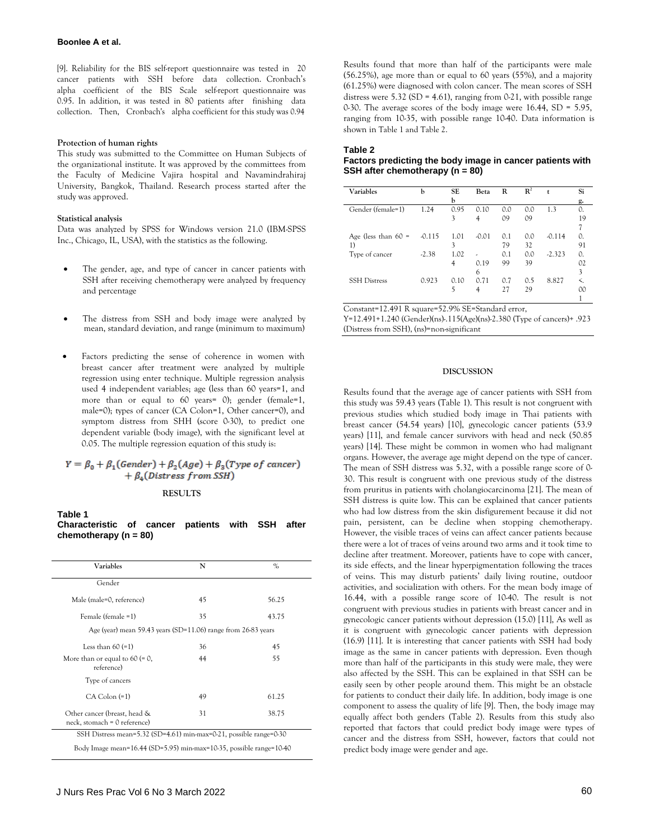[9]. Reliability for the BIS self-report questionnaire was tested in 20 cancer patients with SSH before data collection. Cronbach's alpha coefficient of the BIS Scale self-report questionnaire was 0.95. In addition, it was tested in 80 patients after finishing data collection. Then, Cronbach's alpha coefficient for this study was 0.94

#### **Protection of human rights**

This study was submitted to the Committee on Human Subjects of the organizational institute. It was approved by the committees from the Faculty of Medicine Vajira hospital and Navamindrahiraj University, Bangkok, Thailand. Research process started after the study was approved.

#### **Statistical analysis**

Data was analyzed by SPSS for Windows version 21.0 (IBM-SPSS Inc., Chicago, IL, USA), with the statistics as the following.

- The gender, age, and type of cancer in cancer patients with SSH after receiving chemotherapy were analyzed by frequency and percentage
- The distress from SSH and body image were analyzed by mean, standard deviation, and range (minimum to maximum)
- Factors predicting the sense of coherence in women with breast cancer after treatment were analyzed by multiple regression using enter technique. Multiple regression analysis used 4 independent variables; age (less than 60 years=1, and more than or equal to 60 years= 0); gender (female=1, male=0); types of cancer (CA Colon=1, Other cancer=0), and symptom distress from SHH (score 0-30), to predict one dependent variable (body image), with the significant level at 0.05. The multiple regression equation of this study is:

# $Y = \beta_0 + \beta_1 (Gender) + \beta_2 (Age) + \beta_3 (Type\ of\ cancer)$  $+ \beta_4(Distress from SSH)$

#### **RESULTS**

**Table 1 Characteristic of cancer patients with SSH after chemotherapy (n = 80)** 

| Variables                                                           | N  | $\%$  |  |  |  |  |
|---------------------------------------------------------------------|----|-------|--|--|--|--|
| Gender                                                              |    |       |  |  |  |  |
| Male (male=0, reference)                                            | 45 | 56.25 |  |  |  |  |
| Female (female =1)                                                  | 35 | 43.75 |  |  |  |  |
| Age (year) mean 59.43 years (SD=11.06) range from 26-83 years       |    |       |  |  |  |  |
| Less than $60 (=1)$                                                 | 36 | 45    |  |  |  |  |
| More than or equal to $60 (= 0,$<br>reference)                      | 44 | 55    |  |  |  |  |
| Type of cancers                                                     |    |       |  |  |  |  |
| $CA$ Colon $(=1)$                                                   | 49 | 61.25 |  |  |  |  |
| Other cancer (breast, head &<br>neck, stomach = 0 reference)        | 31 | 38.75 |  |  |  |  |
| SSH Distress mean=5.32 (SD=4.61) min-max=0-21, possible range=0-30  |    |       |  |  |  |  |
| Body Image mean=16.44 (SD=5.95) min-max=10-35, possible range=10-40 |    |       |  |  |  |  |

Results found that more than half of the participants were male (56.25%), age more than or equal to 60 years (55%), and a majority (61.25%) were diagnosed with colon cancer. The mean scores of SSH distress were  $5.32$  (SD = 4.61), ranging from 0-21, with possible range 0-30. The average scores of the body image were 16.44, SD = 5.95, ranging from 10-35, with possible range 10-40. Data information is shown in Table 1 and Table 2.

#### **Table 2**

#### **Factors predicting the body image in cancer patients with SSH after chemotherapy (n = 80)**

| Variables             | b        | SE   | Beta    | R   | $\mathbb{R}^2$ | t        | Si  |
|-----------------------|----------|------|---------|-----|----------------|----------|-----|
|                       |          | b    |         |     |                |          | g.  |
| Gender (female=1)     | 1.24     | 0.95 | 0.10    | 0.0 | 0.0            | 1.3      | 0.  |
|                       |          | 3    | 4       | 09  | 09             |          | 19  |
|                       |          |      |         |     |                |          |     |
| Age (less than $60 =$ | $-0.115$ | 1.01 | $-0.01$ | 0.1 | 0.0            | $-0.114$ | 0.  |
| $_{1}$                |          | 3    |         | 79  | 32             |          | 91  |
| Type of cancer        | $-2.38$  | 1.02 | ٠       | 0.1 | 0.0            | $-2.323$ | 0.  |
|                       |          | 4    | 0.19    | 99  | 39             |          | 02  |
|                       |          |      | 6       |     |                |          | 3   |
| <b>SSH Distress</b>   | 0.923    | 0.10 | 0.71    | 0.7 | 0.5            | 8.827    | ≺.  |
|                       |          | 5    | 4       | 27  | 29             |          | OO. |
|                       |          |      |         |     |                |          |     |

Constant=12.491 R square=52.9% SE=Standard error,

Y=12.491+1.240 (Gender)(ns)-.115(Age)(ns)-2.380 (Type of cancers)+ .923 (Distress from SSH), (ns)=non-significant

#### **DISCUSSION**

Results found that the average age of cancer patients with SSH from this study was 59.43 years (Table 1). This result is not congruent with previous studies which studied body image in Thai patients with breast cancer (54.54 years) [10], gynecologic cancer patients (53.9 years) [11], and female cancer survivors with head and neck (50.85 years) [14]. These might be common in women who had malignant organs. However, the average age might depend on the type of cancer. The mean of SSH distress was 5.32, with a possible range score of 0- 30. This result is congruent with one previous study of the distress from pruritus in patients with cholangiocarcinoma [21]. The mean of SSH distress is quite low. This can be explained that cancer patients who had low distress from the skin disfigurement because it did not pain, persistent, can be decline when stopping chemotherapy. However, the visible traces of veins can affect cancer patients because there were a lot of traces of veins around two arms and it took time to decline after treatment. Moreover, patients have to cope with cancer, its side effects, and the linear hyperpigmentation following the traces of veins. This may disturb patients' daily living routine, outdoor activities, and socialization with others. For the mean body image of 16.44, with a possible range score of 10-40. The result is not congruent with previous studies in patients with breast cancer and in gynecologic cancer patients without depression (15.0) [11], As well as it is congruent with gynecologic cancer patients with depression (16.9) [11]. It is interesting that cancer patients with SSH had body image as the same in cancer patients with depression. Even though more than half of the participants in this study were male, they were also affected by the SSH. This can be explained in that SSH can be easily seen by other people around them. This might be an obstacle for patients to conduct their daily life. In addition, body image is one component to assess the quality of life [9]. Then, the body image may equally affect both genders (Table 2). Results from this study also reported that factors that could predict body image were types of cancer and the distress from SSH, however, factors that could not predict body image were gender and age.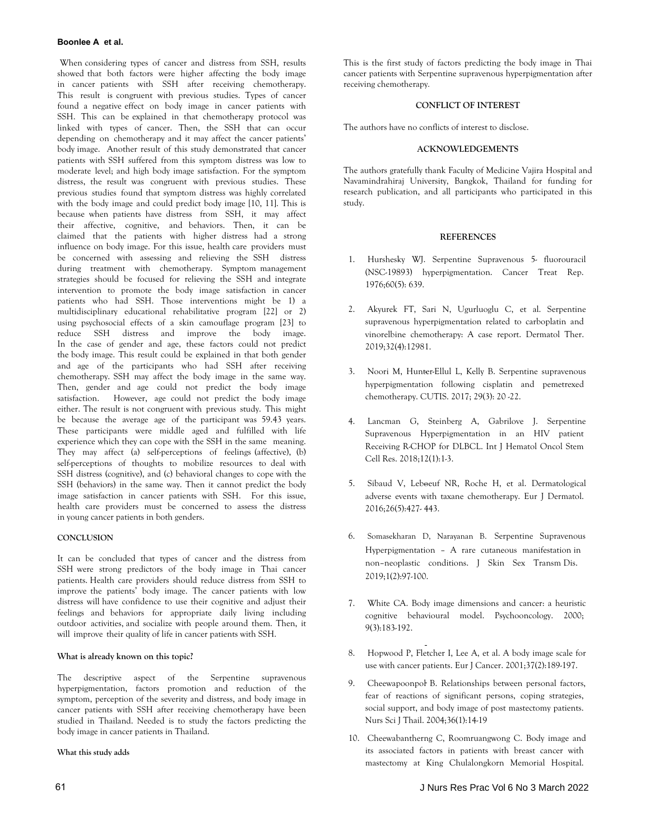When considering types of cancer and distress from SSH, results showed that both factors were higher affecting the body image in cancer patients with SSH after receiving chemotherapy. This result is congruent with previous studies. Types of cancer found a negative effect on body image in cancer patients with SSH. This can be explained in that chemotherapy protocol was linked with types of cancer. Then, the SSH that can occur depending on chemotherapy and it may affect the cancer patients' body image. Another result of this study demonstrated that cancer patients with SSH suffered from this symptom distress was low to moderate level; and high body image satisfaction. For the symptom distress, the result was congruent with previous studies. These previous studies found that symptom distress was highly correlated with the body image and could predict body image [10, 11]. This is because when patients have distress from SSH, it may affect their affective, cognitive, and behaviors. Then, it can be claimed that the patients with higher distress had a strong influence on body image. For this issue, health care providers must be concerned with assessing and relieving the SSH distress during treatment with chemotherapy. Symptom management strategies should be focused for relieving the SSH and integrate intervention to promote the body image satisfaction in cancer patients who had SSH. Those interventions might be 1) a multidisciplinary educational rehabilitative program [22] or 2) using psychosocial effects of a skin camouflage program [23] to reduce SSH distress and improve the body image. In the case of gender and age, these factors could not predict the body image. This result could be explained in that both gender and age of the participants who had SSH after receiving chemotherapy. SSH may affect the body image in the same way. Then, gender and age could not predict the body image satisfaction. However, age could not predict the body image either. The result is not congruent with previous study. This might be because the average age of the participant was 59.43 years. These participants were middle aged and fulfilled with life experience which they can cope with the SSH in the same meaning. They may affect (a) self-perceptions of feelings (affective), (b) self-perceptions of thoughts to mobilize resources to deal with SSH distress (cognitive), and (c) behavioral changes to cope with the SSH (behaviors) in the same way. Then it cannot predict the body image satisfaction in cancer patients with SSH. For this issue, health care providers must be concerned to assess the distress in young cancer patients in both genders.

# **CONCLUSION**

It can be concluded that types of cancer and the distress from SSH were strong predictors of the body image in Thai cancer patients. Health care providers should reduce distress from SSH to improve the patients' body image. The cancer patients with low distress will have confidence to use their cognitive and adjust their feelings and behaviors for appropriate daily living including outdoor activities, and socialize with people around them. Then, it will improve their quality of life in cancer patients with SSH.

# **What is already known on this topic?**

The descriptive aspect of the Serpentine supravenous hyperpigmentation, factors promotion and reduction of the symptom, perception of the severity and distress, and body image in cancer patients with SSH after receiving chemotherapy have been studied in Thailand. Needed is to study the factors predicting the body image in cancer patients in Thailand.

# **What this study adds**

# **CONFLICT OF INTEREST**

The authors have no conflicts of interest to disclose.

# **ACKNOWLEDGEMENTS**

The authors gratefully thank Faculty of Medicine Vajira Hospital and Navamindrahiraj University, Bangkok, Thailand for funding for research publication, and all participants who participated in this study.

# **REFERENCES**

- 1. Hurshesky WJ. [Serpentine Supravenous 5- fluorouracil](https://pubmed.ncbi.nlm.nih.gov/991154/) (NSC-19893) hyperpigmentation. Cancer Treat Rep. [1976;60\(5\): 639.](https://pubmed.ncbi.nlm.nih.gov/991154/)
- 2. [Akyurek FT, S](https://scholar.google.com/scholar?hl=en&as_sdt=0%2C5&q=1.%09Hurshesky+WJ.+Serpentine+Supravenous+5-+fluorouracil+%28NSC-19893%29+hyperpigmentation.+Cancer+Treat+Rep.+1976%3A+60%285%29%3A+639.+&btnG=)ari N, Ugurluoglu C, et al. Serpentine supravenous hyperpigmentation related to carb[oplatin and](https://onlinelibrary.wiley.com/doi/abs/10.1111/dth.12981) [vinorelbine chemotherapy: A case report. Dermatol Ther.](https://onlinelibrary.wiley.com/doi/abs/10.1111/dth.12981) [2019;32\(4\):12981.](https://onlinelibrary.wiley.com/doi/abs/10.1111/dth.12981)
- 3. [Noori M, Hunt](https://scholar.google.com/scholar?hl=en&as_sdt=0%2C5&q=2.%09Akyurek+FT%2C+Sari+N%2C+Ugurluoglu+C%2C+Kurtipek%2C+GS.+Serpentine+supravenous+hyperpigmentation+related+to+carboplatin+and+vinorelbine+chemotherapy%3A+A+case+report.+Dermatologic+Therapy+2019%3B+32e%3A+12981.&btnG=)[er-Ellul L,](https://doi.org/10.1111/dth.12981) Kelly B. Serpentine supravenous hyperpigmentation following cisp[latin and pemetrexed](https://cdn.mdedge.com/files/s3fs-public/CT099004020_e.PDF) [chemotherapy. CUTIS. 2017; 29\(3\): 20 -22.](https://cdn.mdedge.com/files/s3fs-public/CT099004020_e.PDF)
- 4. [Lancman G,](https://scholar.google.com/scholar?hl=en&as_sdt=0%2C5&q=3.%09Noori+M%2C+Hunter-Ellul+L%2C+Kelly+B.+Serpentine+Supravenous+Hyperpigmentation+Following+Cisplatin+and+Pemetrexed+Chemotherapy.+Case+study+2017%3B+29%283%29%3A+E20+-E22.&btnG=) Steinberg A, Gabrilove J. Serpentine Supravenous Hyperpigmentation in an HI[V patient](https://www.ncbi.nlm.nih.gov/pmc/articles/PMC6018244/) [Receiving R-CHOP for DLBCL. Int J Hematol Oncol Stem](https://www.ncbi.nlm.nih.gov/pmc/articles/PMC6018244/) [Cell Res. 2018;12\(1\):1-3.](https://www.ncbi.nlm.nih.gov/pmc/articles/PMC6018244/)
- 5. [Sibaud V, Leb](https://scholar.google.com/scholar?hl=en&as_sdt=0%2C5&q=4.%09Lancman+G.%2C+Steinberg+A.+Gabrilove+J.+Serpentine+Supravenous+Hyperpigmentation+in+an+HIV+patient+Receiving+R-CHOP+for+DLBCL.+IJHOSCR+2018%3B+12%281%29%3A+1-3.&btnG=)[oeuf NR,](https://www.ncbi.nlm.nih.gov/pmc/articles/PMC6018244/) Roche H, et al. Dermatological adverse events with taxane chemotherapy. [Eur J Dermatol.](https://link.springer.com/article/10.1684/ejd.2016.2833) [2016;26\(5\):427- 443.](https://link.springer.com/article/10.1684/ejd.2016.2833)
- 6. [Somasekharan](https://scholar.google.com/scholar?hl=en&as_sdt=0%2C5&q=5.%09Sibaud+V%2C+Leboeuf+NR%2C+Roche+H%2C+et+al.+Dermatological+adverse+events+with+taxane+chemotherapy.+Eur+J+Dermatol.+2016+October+01+%3B+26%285%29%3A427+-+443.&btnG=) [D, Naraya](doi:%2010.1684/ejd.2016.2833.)nan B. [Serpentine Supravenous](https://jsstd.org/serpentine-supravenous-hyperpigmentation-a-rare-cutaneous-manifestation-in-non-neoplastic-conditions/) Hyperpigmentation – [A rare cutaneous manifestation](https://jsstd.org/serpentine-supravenous-hyperpigmentation-a-rare-cutaneous-manifestation-in-non-neoplastic-conditions/) in non–[neoplastic conditions.](https://jsstd.org/serpentine-supravenous-hyperpigmentation-a-rare-cutaneous-manifestation-in-non-neoplastic-conditions/) J Skin Sex Transm Dis. 2019;1(2):97-100.
- 7. [White CA.](https://scholar.google.com/scholar?hl=en&as_sdt=0%2C5&q=6.%09Serpentine+Supravenous+Hyperpigmentation+%E2%80%93+A+rare+cutaneous+manifestation+in+non+%E2%80%93+neoplastic+conditions.+Journal+of+Skin+and+Sexually+Transmitted+Diseases+2019%3B+1%282%29%3A+97-100.&btnG=) [Body image dimensions and cancer: a heuristic](https://onlinelibrary.wiley.com/doi/abs/10.1002/1099-1611(200005/06)9:3%3C183::AID-PON446%3E3.0.CO;2-L) [cognitive behavioural model.](https://onlinelibrary.wiley.com/doi/abs/10.1002/1099-1611(200005/06)9:3%3C183::AID-PON446%3E3.0.CO;2-L) Psychooncology. 2000; 9(3):183-192.
- 8. [Hopwood P, Fle](https://scholar.google.com/scholar?hl=en&as_sdt=0%2C5&q=7.%09White+CA.+Body+image+dimensions+and+cancer%3A+a+heuristic+cognitive+behavioural+model.+Psychooncology+2000%3B+9%283%29%3A183%E2%80%93192.&btnG=)[tcher I, L](https://doi.org/10.1002/1099-1611(200005/06)9:3%3C183::AID-PON446%3E3.0.CO;2-L)ee A, et al. [A body image scale for](https://www.sciencedirect.com/science/article/abs/pii/S0959804900003531) [use with cancer patients.](https://www.sciencedirect.com/science/article/abs/pii/S0959804900003531) Eur J Cancer. 2001;37(2):189-197.
- 9. [Cheewapoonpol](https://scholar.google.com/scholar?hl=en&as_sdt=0%2C5&q=8.%09Hopwood+P%2C+Fletcher+I%2C+Lee+A%2C+et+al.+A+body+image+scale+for+use+with+cancer+patients.+Eur+J+Cancer.+2001%3B+37%3A+189-197.&btnG=) [B. Relati](https://doi.org/10.1016/S0959-8049(00)00353-1)onships between personal factors, fear of reactions o[f significant persons, coping strategies,](https://he02.tci-thaijo.org/index.php/ns/article/view/145510) [social support, and body image of post mastectomy patients.](https://he02.tci-thaijo.org/index.php/ns/article/view/145510)  [Nurs Sci J Thail. 2004;36\(1\):14-19](https://he02.tci-thaijo.org/index.php/ns/article/view/145510)
- 10. Cheewabantherng C, Roomruangwong C. [Body image and](http://clmjournal.org/_fileupload/journal/25-8.pdf) [its associated factors in patients with breast cancer with](http://clmjournal.org/_fileupload/journal/25-8.pdf) [mastectomy at King Chulalongkorn Memorial Hospital.](http://clmjournal.org/_fileupload/journal/25-8.pdf)